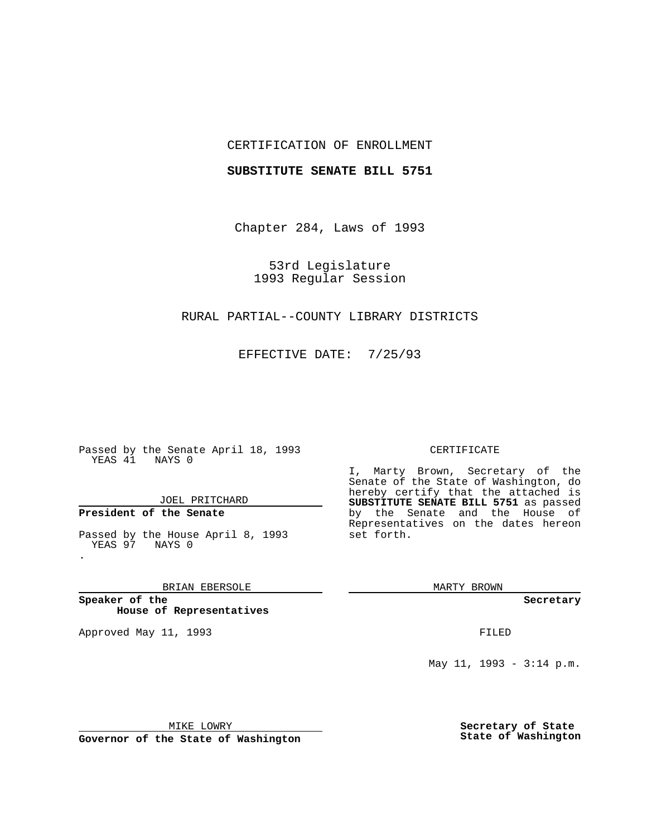## CERTIFICATION OF ENROLLMENT

## **SUBSTITUTE SENATE BILL 5751**

Chapter 284, Laws of 1993

53rd Legislature 1993 Regular Session

## RURAL PARTIAL--COUNTY LIBRARY DISTRICTS

EFFECTIVE DATE: 7/25/93

Passed by the Senate April 18, 1993 YEAS 41 NAYS 0

JOEL PRITCHARD

**President of the Senate**

.

Passed by the House April 8, 1993 YEAS 97 NAYS 0

BRIAN EBERSOLE

**Speaker of the House of Representatives**

Approved May 11, 1993 **FILED** 

#### CERTIFICATE

I, Marty Brown, Secretary of the Senate of the State of Washington, do hereby certify that the attached is **SUBSTITUTE SENATE BILL 5751** as passed by the Senate and the House of Representatives on the dates hereon set forth.

MARTY BROWN

**Secretary**

May 11, 1993 - 3:14 p.m.

MIKE LOWRY

**Governor of the State of Washington**

**Secretary of State State of Washington**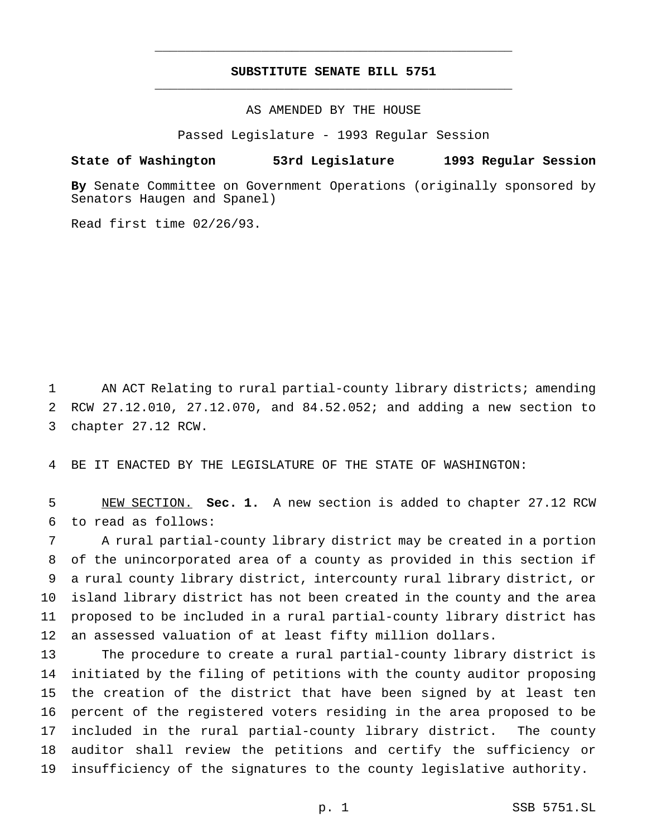# **SUBSTITUTE SENATE BILL 5751** \_\_\_\_\_\_\_\_\_\_\_\_\_\_\_\_\_\_\_\_\_\_\_\_\_\_\_\_\_\_\_\_\_\_\_\_\_\_\_\_\_\_\_\_\_\_\_

\_\_\_\_\_\_\_\_\_\_\_\_\_\_\_\_\_\_\_\_\_\_\_\_\_\_\_\_\_\_\_\_\_\_\_\_\_\_\_\_\_\_\_\_\_\_\_

AS AMENDED BY THE HOUSE

Passed Legislature - 1993 Regular Session

### **State of Washington 53rd Legislature 1993 Regular Session**

**By** Senate Committee on Government Operations (originally sponsored by Senators Haugen and Spanel)

Read first time 02/26/93.

 AN ACT Relating to rural partial-county library districts; amending RCW 27.12.010, 27.12.070, and 84.52.052; and adding a new section to chapter 27.12 RCW.

BE IT ENACTED BY THE LEGISLATURE OF THE STATE OF WASHINGTON:

 NEW SECTION. **Sec. 1.** A new section is added to chapter 27.12 RCW to read as follows:

 A rural partial-county library district may be created in a portion of the unincorporated area of a county as provided in this section if a rural county library district, intercounty rural library district, or island library district has not been created in the county and the area proposed to be included in a rural partial-county library district has an assessed valuation of at least fifty million dollars.

 The procedure to create a rural partial-county library district is initiated by the filing of petitions with the county auditor proposing the creation of the district that have been signed by at least ten percent of the registered voters residing in the area proposed to be included in the rural partial-county library district. The county auditor shall review the petitions and certify the sufficiency or insufficiency of the signatures to the county legislative authority.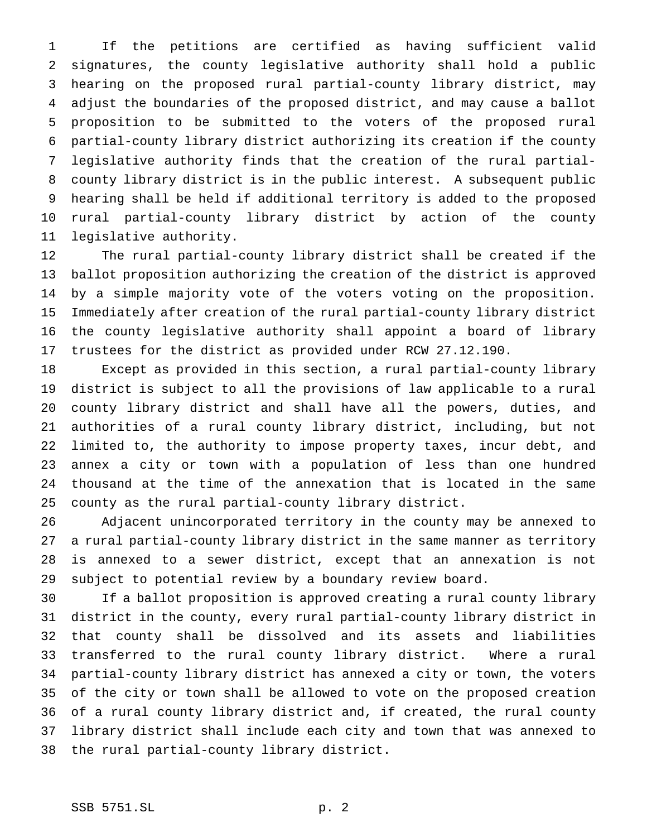If the petitions are certified as having sufficient valid signatures, the county legislative authority shall hold a public hearing on the proposed rural partial-county library district, may adjust the boundaries of the proposed district, and may cause a ballot proposition to be submitted to the voters of the proposed rural partial-county library district authorizing its creation if the county legislative authority finds that the creation of the rural partial- county library district is in the public interest. A subsequent public hearing shall be held if additional territory is added to the proposed rural partial-county library district by action of the county legislative authority.

 The rural partial-county library district shall be created if the ballot proposition authorizing the creation of the district is approved by a simple majority vote of the voters voting on the proposition. Immediately after creation of the rural partial-county library district the county legislative authority shall appoint a board of library trustees for the district as provided under RCW 27.12.190.

 Except as provided in this section, a rural partial-county library district is subject to all the provisions of law applicable to a rural county library district and shall have all the powers, duties, and authorities of a rural county library district, including, but not limited to, the authority to impose property taxes, incur debt, and annex a city or town with a population of less than one hundred thousand at the time of the annexation that is located in the same county as the rural partial-county library district.

 Adjacent unincorporated territory in the county may be annexed to a rural partial-county library district in the same manner as territory is annexed to a sewer district, except that an annexation is not subject to potential review by a boundary review board.

 If a ballot proposition is approved creating a rural county library district in the county, every rural partial-county library district in that county shall be dissolved and its assets and liabilities transferred to the rural county library district. Where a rural partial-county library district has annexed a city or town, the voters of the city or town shall be allowed to vote on the proposed creation of a rural county library district and, if created, the rural county library district shall include each city and town that was annexed to the rural partial-county library district.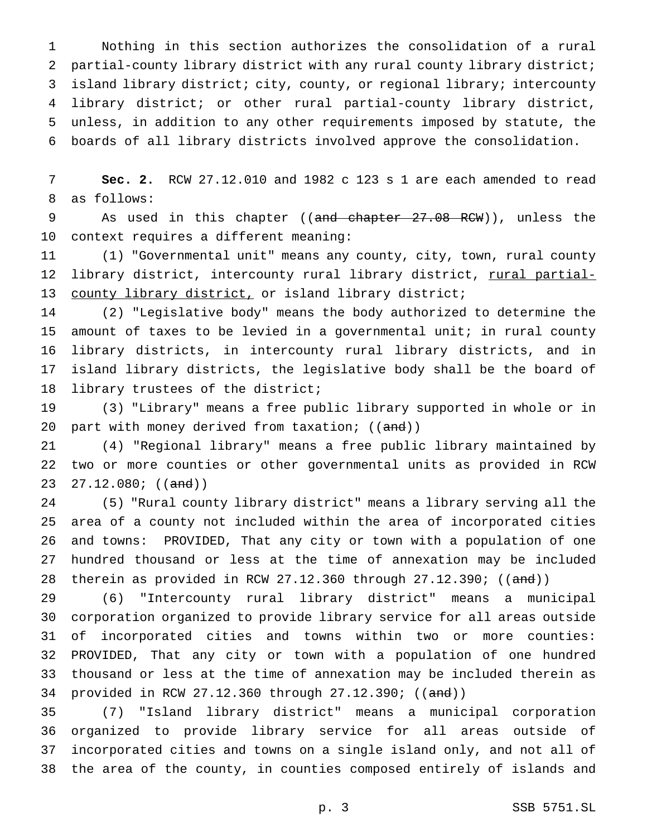Nothing in this section authorizes the consolidation of a rural 2 partial-county library district with any rural county library district; island library district; city, county, or regional library; intercounty library district; or other rural partial-county library district, unless, in addition to any other requirements imposed by statute, the boards of all library districts involved approve the consolidation.

 **Sec. 2.** RCW 27.12.010 and 1982 c 123 s 1 are each amended to read as follows:

9 As used in this chapter ((and chapter 27.08 RCW)), unless the context requires a different meaning:

 (1) "Governmental unit" means any county, city, town, rural county library district, intercounty rural library district, rural partial-13 county library district, or island library district;

 (2) "Legislative body" means the body authorized to determine the amount of taxes to be levied in a governmental unit; in rural county library districts, in intercounty rural library districts, and in island library districts, the legislative body shall be the board of library trustees of the district;

 (3) "Library" means a free public library supported in whole or in 20 part with money derived from taxation; ((and))

 (4) "Regional library" means a free public library maintained by two or more counties or other governmental units as provided in RCW 23 27.12.080;  $((and))$ 

 (5) "Rural county library district" means a library serving all the area of a county not included within the area of incorporated cities and towns: PROVIDED, That any city or town with a population of one hundred thousand or less at the time of annexation may be included 28 therein as provided in RCW 27.12.360 through 27.12.390; ((and))

 (6) "Intercounty rural library district" means a municipal corporation organized to provide library service for all areas outside of incorporated cities and towns within two or more counties: PROVIDED, That any city or town with a population of one hundred thousand or less at the time of annexation may be included therein as provided in RCW 27.12.360 through 27.12.390; ((and))

 (7) "Island library district" means a municipal corporation organized to provide library service for all areas outside of incorporated cities and towns on a single island only, and not all of the area of the county, in counties composed entirely of islands and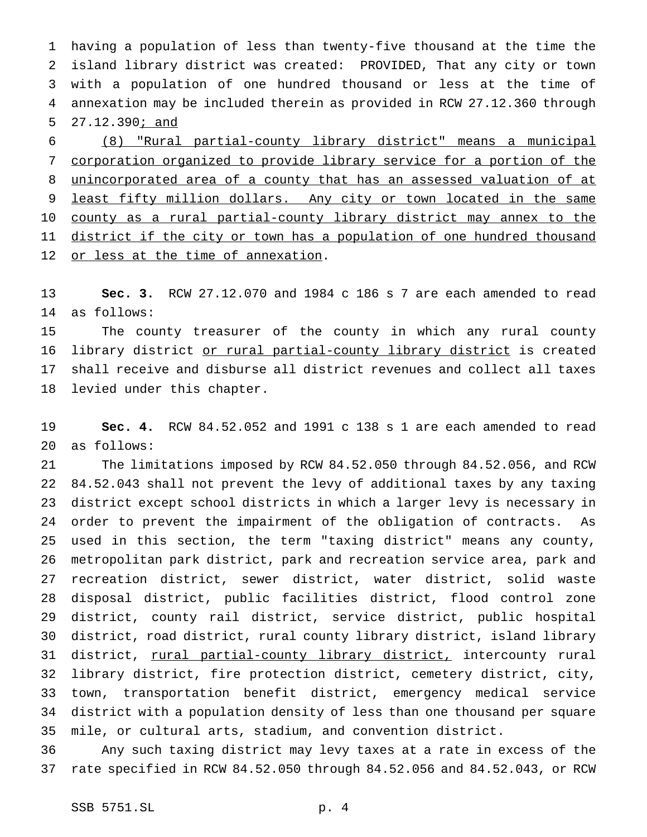having a population of less than twenty-five thousand at the time the island library district was created: PROVIDED, That any city or town with a population of one hundred thousand or less at the time of annexation may be included therein as provided in RCW 27.12.360 through 5 27.12.390<u>; and</u>

 (8) "Rural partial-county library district" means a municipal corporation organized to provide library service for a portion of the unincorporated area of a county that has an assessed valuation of at 9 least fifty million dollars. Any city or town located in the same 10 county as a rural partial-county library district may annex to the 11 district if the city or town has a population of one hundred thousand 12 or less at the time of annexation.

 **Sec. 3.** RCW 27.12.070 and 1984 c 186 s 7 are each amended to read as follows:

 The county treasurer of the county in which any rural county 16 library district or rural partial-county library district is created shall receive and disburse all district revenues and collect all taxes levied under this chapter.

 **Sec. 4.** RCW 84.52.052 and 1991 c 138 s 1 are each amended to read as follows:

 The limitations imposed by RCW 84.52.050 through 84.52.056, and RCW 84.52.043 shall not prevent the levy of additional taxes by any taxing district except school districts in which a larger levy is necessary in order to prevent the impairment of the obligation of contracts. As used in this section, the term "taxing district" means any county, metropolitan park district, park and recreation service area, park and recreation district, sewer district, water district, solid waste disposal district, public facilities district, flood control zone district, county rail district, service district, public hospital district, road district, rural county library district, island library 31 district, rural partial-county library district, intercounty rural library district, fire protection district, cemetery district, city, town, transportation benefit district, emergency medical service district with a population density of less than one thousand per square mile, or cultural arts, stadium, and convention district.

 Any such taxing district may levy taxes at a rate in excess of the rate specified in RCW 84.52.050 through 84.52.056 and 84.52.043, or RCW